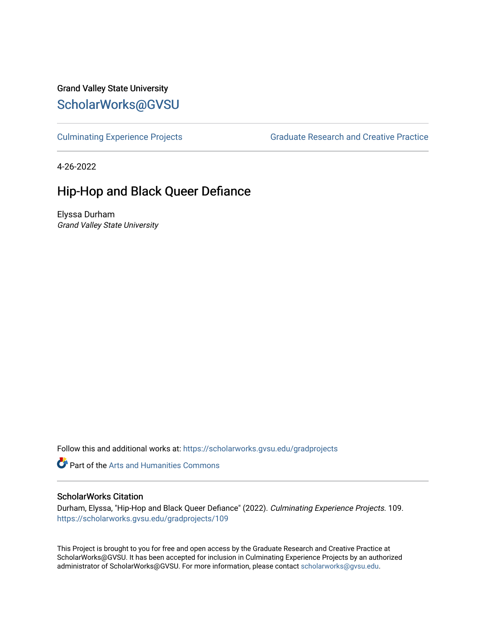Grand Valley State University [ScholarWorks@GVSU](https://scholarworks.gvsu.edu/) 

[Culminating Experience Projects](https://scholarworks.gvsu.edu/gradprojects) [Graduate Research and Creative Practice](https://scholarworks.gvsu.edu/grcp) 

4-26-2022

## Hip-Hop and Black Queer Defiance

Elyssa Durham Grand Valley State University

Follow this and additional works at: [https://scholarworks.gvsu.edu/gradprojects](https://scholarworks.gvsu.edu/gradprojects?utm_source=scholarworks.gvsu.edu%2Fgradprojects%2F109&utm_medium=PDF&utm_campaign=PDFCoverPages) 

**Part of the Arts and Humanities Commons** 

### ScholarWorks Citation

Durham, Elyssa, "Hip-Hop and Black Queer Defiance" (2022). Culminating Experience Projects. 109. [https://scholarworks.gvsu.edu/gradprojects/109](https://scholarworks.gvsu.edu/gradprojects/109?utm_source=scholarworks.gvsu.edu%2Fgradprojects%2F109&utm_medium=PDF&utm_campaign=PDFCoverPages) 

This Project is brought to you for free and open access by the Graduate Research and Creative Practice at ScholarWorks@GVSU. It has been accepted for inclusion in Culminating Experience Projects by an authorized administrator of ScholarWorks@GVSU. For more information, please contact [scholarworks@gvsu.edu](mailto:scholarworks@gvsu.edu).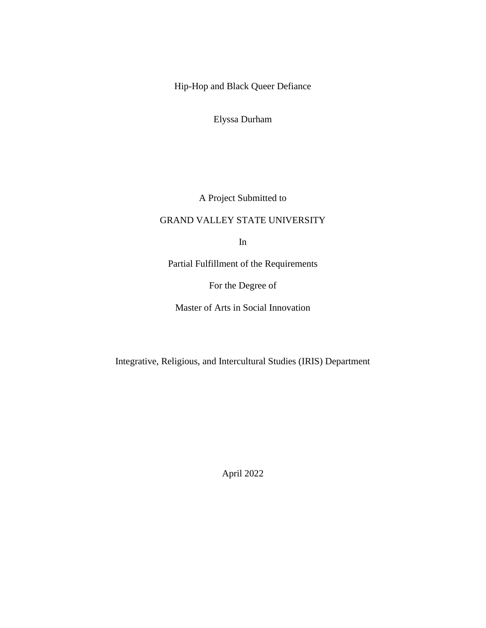Hip-Hop and Black Queer Defiance

Elyssa Durham

A Project Submitted to

### GRAND VALLEY STATE UNIVERSITY

In

Partial Fulfillment of the Requirements

For the Degree of

Master of Arts in Social Innovation

Integrative, Religious, and Intercultural Studies (IRIS) Department

April 2022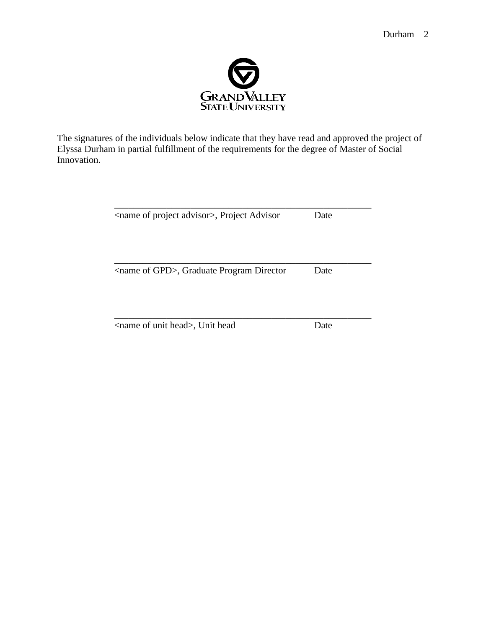

The signatures of the individuals below indicate that they have read and approved the project of Elyssa Durham in partial fulfillment of the requirements for the degree of Master of Social Innovation.

\_\_\_\_\_\_\_\_\_\_\_\_\_\_\_\_\_\_\_\_\_\_\_\_\_\_\_\_\_\_\_\_\_\_\_\_\_\_\_\_\_\_\_\_\_\_\_\_\_\_\_\_\_\_

\_\_\_\_\_\_\_\_\_\_\_\_\_\_\_\_\_\_\_\_\_\_\_\_\_\_\_\_\_\_\_\_\_\_\_\_\_\_\_\_\_\_\_\_\_\_\_\_\_\_\_\_\_\_

<name of project advisor>, Project Advisor Date

\_\_\_\_\_\_\_\_\_\_\_\_\_\_\_\_\_\_\_\_\_\_\_\_\_\_\_\_\_\_\_\_\_\_\_\_\_\_\_\_\_\_\_\_\_\_\_\_\_\_\_\_\_\_ <name of GPD>, Graduate Program Director Date

<name of unit head>, Unit head Date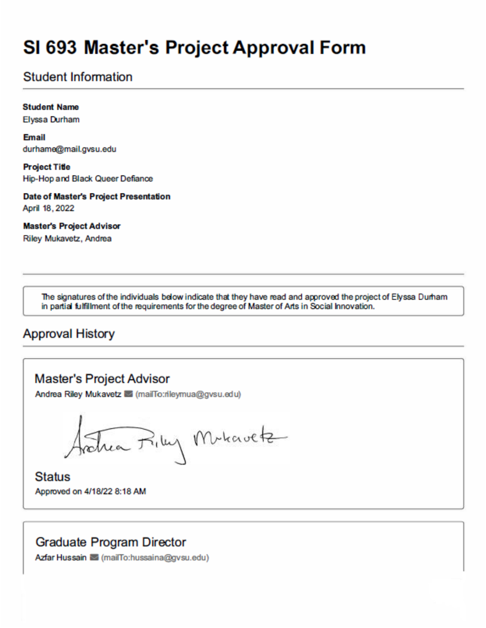# SI 693 Master's Project Approval Form

## **Student Information**

#### **Student Name**

Elyssa Durham

Email durhame@mail.gvsu.edu

**Project Title** Hip-Hop and Black Queer Defiance

Date of Master's Project Presentation April 18, 2022

**Master's Project Advisor** 

Riley Mukavetz, Andrea

The signatures of the individuals below indicate that they have read and approved the project of Elyssa Durham in partial fulfillment of the requirements for the degree of Master of Arts in Social Innovation.

## **Approval History**

## Master's Project Advisor

Andrea Riley Mukavetz **com** (mailTo:rileymua@gvsu.edu)

Andrea Film Mikavete

**Status** Approved on 4/18/22 8:18 AM

## **Graduate Program Director**

Azfar Hussain & (mailTo:hussaina@gvsu.edu)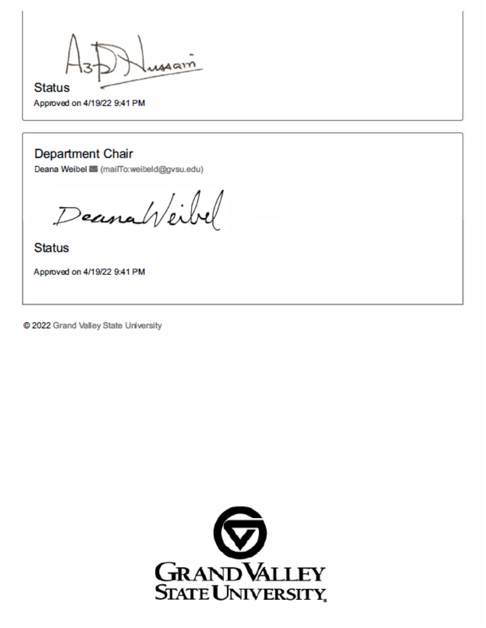waam

### **Status** Approved on 4/19/22 9:41 PM

## Department Chair

Deana Weibel <a>
<a>
<a>
(mailTo:weibeld@gvsu.edu)

Deanah/eibel

**Status** 

Approved on 4/19/22 9:41 PM

@ 2022 Grand Valley State University

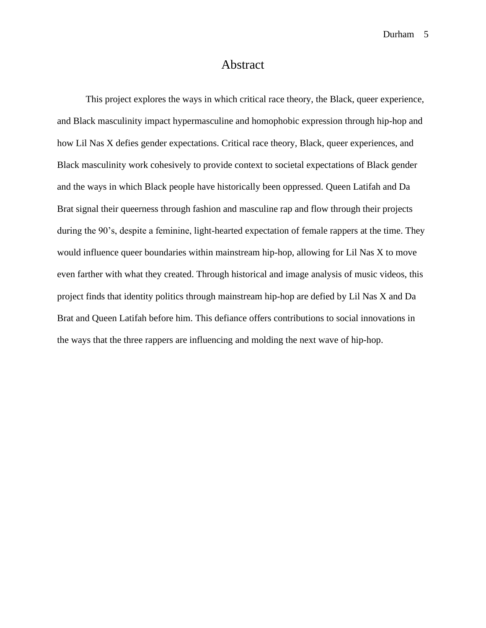### Abstract

This project explores the ways in which critical race theory, the Black, queer experience, and Black masculinity impact hypermasculine and homophobic expression through hip-hop and how Lil Nas X defies gender expectations. Critical race theory, Black, queer experiences, and Black masculinity work cohesively to provide context to societal expectations of Black gender and the ways in which Black people have historically been oppressed. Queen Latifah and Da Brat signal their queerness through fashion and masculine rap and flow through their projects during the 90's, despite a feminine, light-hearted expectation of female rappers at the time. They would influence queer boundaries within mainstream hip-hop, allowing for Lil Nas X to move even farther with what they created. Through historical and image analysis of music videos, this project finds that identity politics through mainstream hip-hop are defied by Lil Nas X and Da Brat and Queen Latifah before him. This defiance offers contributions to social innovations in the ways that the three rappers are influencing and molding the next wave of hip-hop.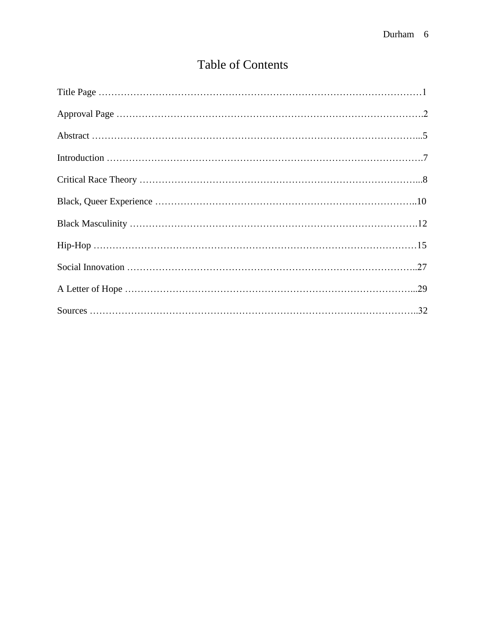## Table of Contents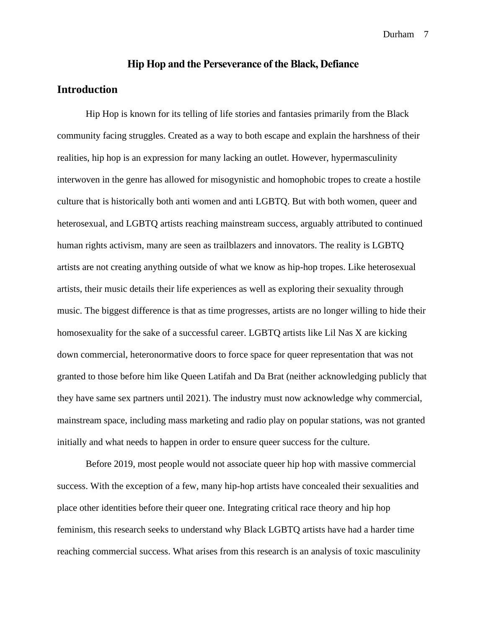### **Hip Hop and the Perseverance of the Black, Defiance**

### **Introduction**

Hip Hop is known for its telling of life stories and fantasies primarily from the Black community facing struggles. Created as a way to both escape and explain the harshness of their realities, hip hop is an expression for many lacking an outlet. However, hypermasculinity interwoven in the genre has allowed for misogynistic and homophobic tropes to create a hostile culture that is historically both anti women and anti LGBTQ. But with both women, queer and heterosexual, and LGBTQ artists reaching mainstream success, arguably attributed to continued human rights activism, many are seen as trailblazers and innovators. The reality is LGBTQ artists are not creating anything outside of what we know as hip-hop tropes. Like heterosexual artists, their music details their life experiences as well as exploring their sexuality through music. The biggest difference is that as time progresses, artists are no longer willing to hide their homosexuality for the sake of a successful career. LGBTQ artists like Lil Nas X are kicking down commercial, heteronormative doors to force space for queer representation that was not granted to those before him like Queen Latifah and Da Brat (neither acknowledging publicly that they have same sex partners until 2021). The industry must now acknowledge why commercial, mainstream space, including mass marketing and radio play on popular stations, was not granted initially and what needs to happen in order to ensure queer success for the culture.

Before 2019, most people would not associate queer hip hop with massive commercial success. With the exception of a few, many hip-hop artists have concealed their sexualities and place other identities before their queer one. Integrating critical race theory and hip hop feminism, this research seeks to understand why Black LGBTQ artists have had a harder time reaching commercial success. What arises from this research is an analysis of toxic masculinity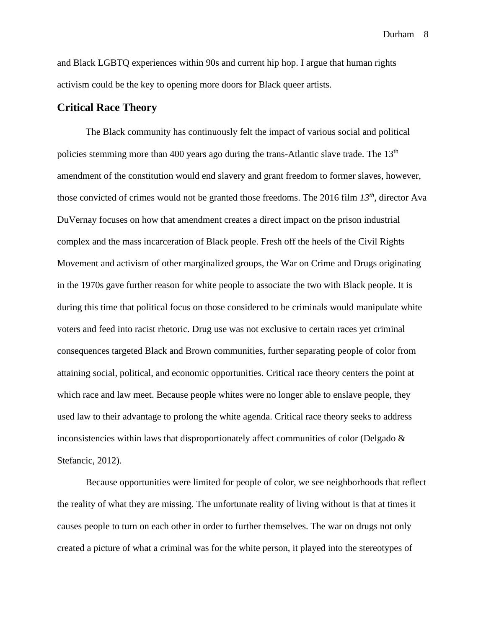and Black LGBTQ experiences within 90s and current hip hop. I argue that human rights activism could be the key to opening more doors for Black queer artists.

### **Critical Race Theory**

The Black community has continuously felt the impact of various social and political policies stemming more than 400 years ago during the trans-Atlantic slave trade. The 13<sup>th</sup> amendment of the constitution would end slavery and grant freedom to former slaves, however, those convicted of crimes would not be granted those freedoms. The 2016 film *13th*, director Ava DuVernay focuses on how that amendment creates a direct impact on the prison industrial complex and the mass incarceration of Black people. Fresh off the heels of the Civil Rights Movement and activism of other marginalized groups, the War on Crime and Drugs originating in the 1970s gave further reason for white people to associate the two with Black people. It is during this time that political focus on those considered to be criminals would manipulate white voters and feed into racist rhetoric. Drug use was not exclusive to certain races yet criminal consequences targeted Black and Brown communities, further separating people of color from attaining social, political, and economic opportunities. Critical race theory centers the point at which race and law meet. Because people whites were no longer able to enslave people, they used law to their advantage to prolong the white agenda. Critical race theory seeks to address inconsistencies within laws that disproportionately affect communities of color (Delgado  $\&$ Stefancic, 2012).

Because opportunities were limited for people of color, we see neighborhoods that reflect the reality of what they are missing. The unfortunate reality of living without is that at times it causes people to turn on each other in order to further themselves. The war on drugs not only created a picture of what a criminal was for the white person, it played into the stereotypes of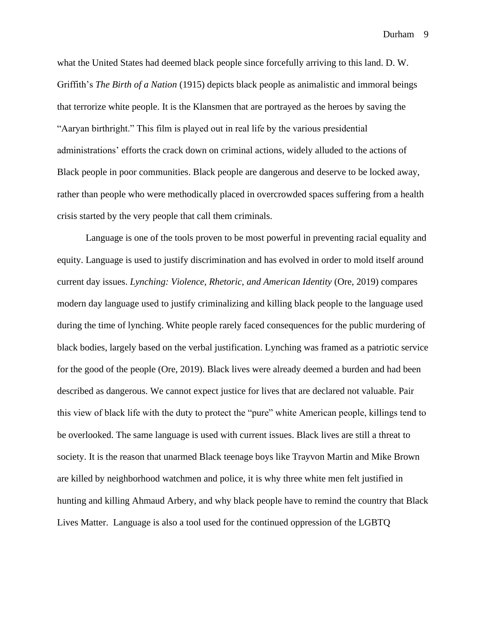what the United States had deemed black people since forcefully arriving to this land. D. W. Griffith's *The Birth of a Nation* (1915) depicts black people as animalistic and immoral beings that terrorize white people. It is the Klansmen that are portrayed as the heroes by saving the "Aaryan birthright." This film is played out in real life by the various presidential administrations' efforts the crack down on criminal actions, widely alluded to the actions of Black people in poor communities. Black people are dangerous and deserve to be locked away, rather than people who were methodically placed in overcrowded spaces suffering from a health crisis started by the very people that call them criminals.

Language is one of the tools proven to be most powerful in preventing racial equality and equity. Language is used to justify discrimination and has evolved in order to mold itself around current day issues. *Lynching: Violence, Rhetoric, and American Identity* (Ore, 2019) compares modern day language used to justify criminalizing and killing black people to the language used during the time of lynching. White people rarely faced consequences for the public murdering of black bodies, largely based on the verbal justification. Lynching was framed as a patriotic service for the good of the people (Ore, 2019). Black lives were already deemed a burden and had been described as dangerous. We cannot expect justice for lives that are declared not valuable. Pair this view of black life with the duty to protect the "pure" white American people, killings tend to be overlooked. The same language is used with current issues. Black lives are still a threat to society. It is the reason that unarmed Black teenage boys like Trayvon Martin and Mike Brown are killed by neighborhood watchmen and police, it is why three white men felt justified in hunting and killing Ahmaud Arbery, and why black people have to remind the country that Black Lives Matter. Language is also a tool used for the continued oppression of the LGBTQ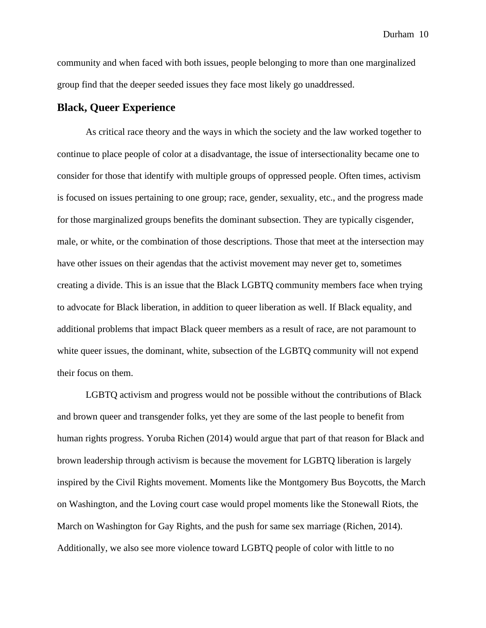community and when faced with both issues, people belonging to more than one marginalized group find that the deeper seeded issues they face most likely go unaddressed.

### **Black, Queer Experience**

As critical race theory and the ways in which the society and the law worked together to continue to place people of color at a disadvantage, the issue of intersectionality became one to consider for those that identify with multiple groups of oppressed people. Often times, activism is focused on issues pertaining to one group; race, gender, sexuality, etc., and the progress made for those marginalized groups benefits the dominant subsection. They are typically cisgender, male, or white, or the combination of those descriptions. Those that meet at the intersection may have other issues on their agendas that the activist movement may never get to, sometimes creating a divide. This is an issue that the Black LGBTQ community members face when trying to advocate for Black liberation, in addition to queer liberation as well. If Black equality, and additional problems that impact Black queer members as a result of race, are not paramount to white queer issues, the dominant, white, subsection of the LGBTQ community will not expend their focus on them.

LGBTQ activism and progress would not be possible without the contributions of Black and brown queer and transgender folks, yet they are some of the last people to benefit from human rights progress. Yoruba Richen (2014) would argue that part of that reason for Black and brown leadership through activism is because the movement for LGBTQ liberation is largely inspired by the Civil Rights movement. Moments like the Montgomery Bus Boycotts, the March on Washington, and the Loving court case would propel moments like the Stonewall Riots, the March on Washington for Gay Rights, and the push for same sex marriage (Richen, 2014). Additionally, we also see more violence toward LGBTQ people of color with little to no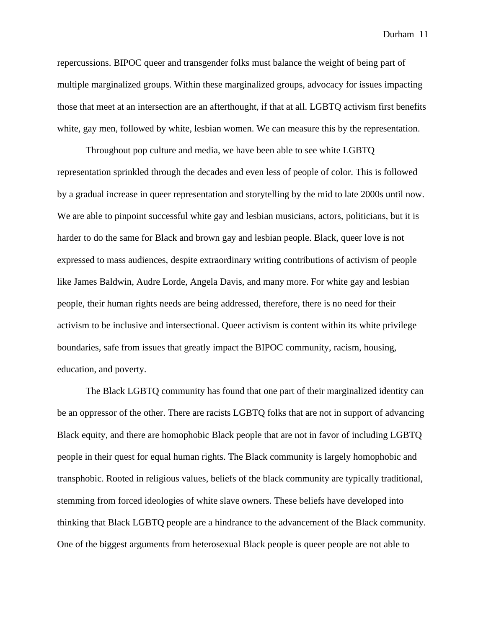repercussions. BIPOC queer and transgender folks must balance the weight of being part of multiple marginalized groups. Within these marginalized groups, advocacy for issues impacting those that meet at an intersection are an afterthought, if that at all. LGBTQ activism first benefits white, gay men, followed by white, lesbian women. We can measure this by the representation.

Throughout pop culture and media, we have been able to see white LGBTQ representation sprinkled through the decades and even less of people of color. This is followed by a gradual increase in queer representation and storytelling by the mid to late 2000s until now. We are able to pinpoint successful white gay and lesbian musicians, actors, politicians, but it is harder to do the same for Black and brown gay and lesbian people. Black, queer love is not expressed to mass audiences, despite extraordinary writing contributions of activism of people like James Baldwin, Audre Lorde, Angela Davis, and many more. For white gay and lesbian people, their human rights needs are being addressed, therefore, there is no need for their activism to be inclusive and intersectional. Queer activism is content within its white privilege boundaries, safe from issues that greatly impact the BIPOC community, racism, housing, education, and poverty.

The Black LGBTQ community has found that one part of their marginalized identity can be an oppressor of the other. There are racists LGBTQ folks that are not in support of advancing Black equity, and there are homophobic Black people that are not in favor of including LGBTQ people in their quest for equal human rights. The Black community is largely homophobic and transphobic. Rooted in religious values, beliefs of the black community are typically traditional, stemming from forced ideologies of white slave owners. These beliefs have developed into thinking that Black LGBTQ people are a hindrance to the advancement of the Black community. One of the biggest arguments from heterosexual Black people is queer people are not able to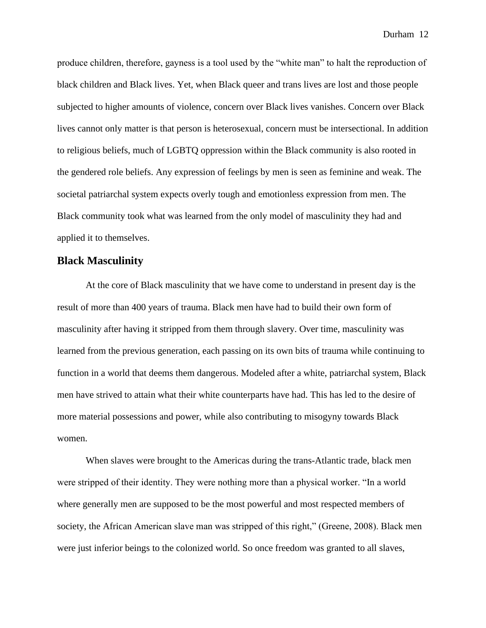produce children, therefore, gayness is a tool used by the "white man" to halt the reproduction of black children and Black lives. Yet, when Black queer and trans lives are lost and those people subjected to higher amounts of violence, concern over Black lives vanishes. Concern over Black lives cannot only matter is that person is heterosexual, concern must be intersectional. In addition to religious beliefs, much of LGBTQ oppression within the Black community is also rooted in the gendered role beliefs. Any expression of feelings by men is seen as feminine and weak. The societal patriarchal system expects overly tough and emotionless expression from men. The Black community took what was learned from the only model of masculinity they had and applied it to themselves.

### **Black Masculinity**

At the core of Black masculinity that we have come to understand in present day is the result of more than 400 years of trauma. Black men have had to build their own form of masculinity after having it stripped from them through slavery. Over time, masculinity was learned from the previous generation, each passing on its own bits of trauma while continuing to function in a world that deems them dangerous. Modeled after a white, patriarchal system, Black men have strived to attain what their white counterparts have had. This has led to the desire of more material possessions and power, while also contributing to misogyny towards Black women.

When slaves were brought to the Americas during the trans-Atlantic trade, black men were stripped of their identity. They were nothing more than a physical worker. "In a world where generally men are supposed to be the most powerful and most respected members of society, the African American slave man was stripped of this right," (Greene, 2008). Black men were just inferior beings to the colonized world. So once freedom was granted to all slaves,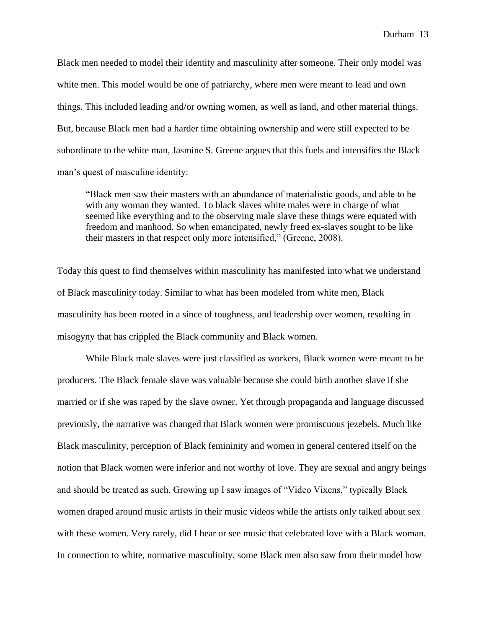Black men needed to model their identity and masculinity after someone. Their only model was white men. This model would be one of patriarchy, where men were meant to lead and own things. This included leading and/or owning women, as well as land, and other material things. But, because Black men had a harder time obtaining ownership and were still expected to be subordinate to the white man, Jasmine S. Greene argues that this fuels and intensifies the Black man's quest of masculine identity:

"Black men saw their masters with an abundance of materialistic goods, and able to be with any woman they wanted. To black slaves white males were in charge of what seemed like everything and to the observing male slave these things were equated with freedom and manhood. So when emancipated, newly freed ex-slaves sought to be like their masters in that respect only more intensified," (Greene, 2008).

Today this quest to find themselves within masculinity has manifested into what we understand of Black masculinity today. Similar to what has been modeled from white men, Black masculinity has been rooted in a since of toughness, and leadership over women, resulting in misogyny that has crippled the Black community and Black women.

While Black male slaves were just classified as workers, Black women were meant to be producers. The Black female slave was valuable because she could birth another slave if she married or if she was raped by the slave owner. Yet through propaganda and language discussed previously, the narrative was changed that Black women were promiscuous jezebels. Much like Black masculinity, perception of Black femininity and women in general centered itself on the notion that Black women were inferior and not worthy of love. They are sexual and angry beings and should be treated as such. Growing up I saw images of "Video Vixens," typically Black women draped around music artists in their music videos while the artists only talked about sex with these women. Very rarely, did I hear or see music that celebrated love with a Black woman. In connection to white, normative masculinity, some Black men also saw from their model how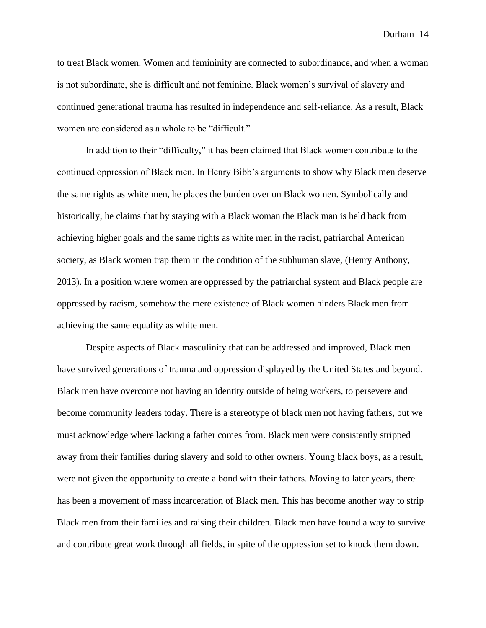to treat Black women. Women and femininity are connected to subordinance, and when a woman is not subordinate, she is difficult and not feminine. Black women's survival of slavery and continued generational trauma has resulted in independence and self-reliance. As a result, Black women are considered as a whole to be "difficult."

In addition to their "difficulty," it has been claimed that Black women contribute to the continued oppression of Black men. In Henry Bibb's arguments to show why Black men deserve the same rights as white men, he places the burden over on Black women. Symbolically and historically, he claims that by staying with a Black woman the Black man is held back from achieving higher goals and the same rights as white men in the racist, patriarchal American society, as Black women trap them in the condition of the subhuman slave, (Henry Anthony, 2013). In a position where women are oppressed by the patriarchal system and Black people are oppressed by racism, somehow the mere existence of Black women hinders Black men from achieving the same equality as white men.

Despite aspects of Black masculinity that can be addressed and improved, Black men have survived generations of trauma and oppression displayed by the United States and beyond. Black men have overcome not having an identity outside of being workers, to persevere and become community leaders today. There is a stereotype of black men not having fathers, but we must acknowledge where lacking a father comes from. Black men were consistently stripped away from their families during slavery and sold to other owners. Young black boys, as a result, were not given the opportunity to create a bond with their fathers. Moving to later years, there has been a movement of mass incarceration of Black men. This has become another way to strip Black men from their families and raising their children. Black men have found a way to survive and contribute great work through all fields, in spite of the oppression set to knock them down.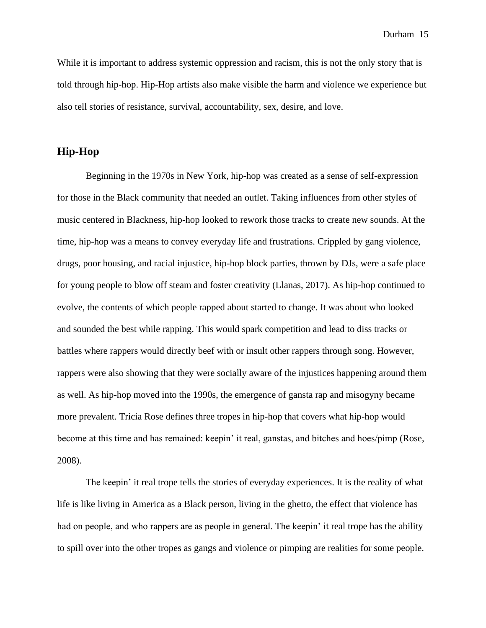While it is important to address systemic oppression and racism, this is not the only story that is told through hip-hop. Hip-Hop artists also make visible the harm and violence we experience but also tell stories of resistance, survival, accountability, sex, desire, and love.

### **Hip-Hop**

Beginning in the 1970s in New York, hip-hop was created as a sense of self-expression for those in the Black community that needed an outlet. Taking influences from other styles of music centered in Blackness, hip-hop looked to rework those tracks to create new sounds. At the time, hip-hop was a means to convey everyday life and frustrations. Crippled by gang violence, drugs, poor housing, and racial injustice, hip-hop block parties, thrown by DJs, were a safe place for young people to blow off steam and foster creativity (Llanas, 2017). As hip-hop continued to evolve, the contents of which people rapped about started to change. It was about who looked and sounded the best while rapping. This would spark competition and lead to diss tracks or battles where rappers would directly beef with or insult other rappers through song. However, rappers were also showing that they were socially aware of the injustices happening around them as well. As hip-hop moved into the 1990s, the emergence of gansta rap and misogyny became more prevalent. Tricia Rose defines three tropes in hip-hop that covers what hip-hop would become at this time and has remained: keepin' it real, ganstas, and bitches and hoes/pimp (Rose, 2008).

The keepin' it real trope tells the stories of everyday experiences. It is the reality of what life is like living in America as a Black person, living in the ghetto, the effect that violence has had on people, and who rappers are as people in general. The keepin' it real trope has the ability to spill over into the other tropes as gangs and violence or pimping are realities for some people.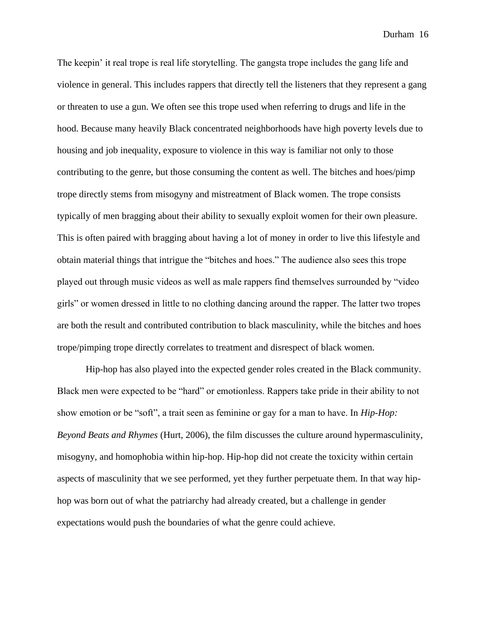The keepin' it real trope is real life storytelling. The gangsta trope includes the gang life and violence in general. This includes rappers that directly tell the listeners that they represent a gang or threaten to use a gun. We often see this trope used when referring to drugs and life in the hood. Because many heavily Black concentrated neighborhoods have high poverty levels due to housing and job inequality, exposure to violence in this way is familiar not only to those contributing to the genre, but those consuming the content as well. The bitches and hoes/pimp trope directly stems from misogyny and mistreatment of Black women. The trope consists typically of men bragging about their ability to sexually exploit women for their own pleasure. This is often paired with bragging about having a lot of money in order to live this lifestyle and obtain material things that intrigue the "bitches and hoes." The audience also sees this trope played out through music videos as well as male rappers find themselves surrounded by "video girls" or women dressed in little to no clothing dancing around the rapper. The latter two tropes are both the result and contributed contribution to black masculinity, while the bitches and hoes trope/pimping trope directly correlates to treatment and disrespect of black women.

Hip-hop has also played into the expected gender roles created in the Black community. Black men were expected to be "hard" or emotionless. Rappers take pride in their ability to not show emotion or be "soft", a trait seen as feminine or gay for a man to have. In *Hip-Hop: Beyond Beats and Rhymes* (Hurt, 2006), the film discusses the culture around hypermasculinity, misogyny, and homophobia within hip-hop. Hip-hop did not create the toxicity within certain aspects of masculinity that we see performed, yet they further perpetuate them. In that way hiphop was born out of what the patriarchy had already created, but a challenge in gender expectations would push the boundaries of what the genre could achieve.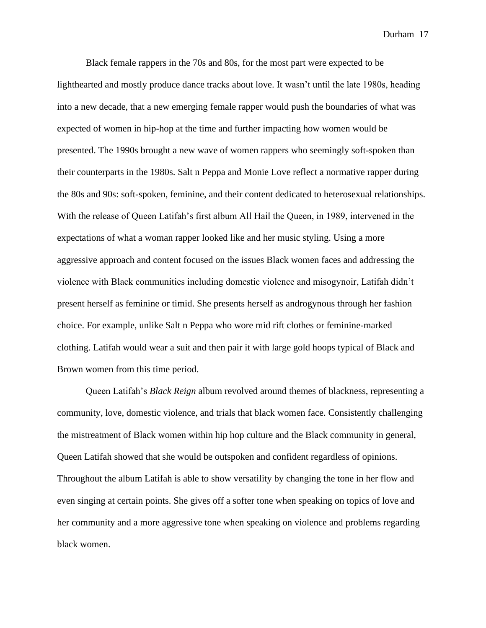Black female rappers in the 70s and 80s, for the most part were expected to be lighthearted and mostly produce dance tracks about love. It wasn't until the late 1980s, heading into a new decade, that a new emerging female rapper would push the boundaries of what was expected of women in hip-hop at the time and further impacting how women would be presented. The 1990s brought a new wave of women rappers who seemingly soft-spoken than their counterparts in the 1980s. Salt n Peppa and Monie Love reflect a normative rapper during the 80s and 90s: soft-spoken, feminine, and their content dedicated to heterosexual relationships. With the release of Queen Latifah's first album All Hail the Queen, in 1989, intervened in the expectations of what a woman rapper looked like and her music styling. Using a more aggressive approach and content focused on the issues Black women faces and addressing the violence with Black communities including domestic violence and misogynoir, Latifah didn't present herself as feminine or timid. She presents herself as androgynous through her fashion choice. For example, unlike Salt n Peppa who wore mid rift clothes or feminine-marked clothing. Latifah would wear a suit and then pair it with large gold hoops typical of Black and Brown women from this time period.

Queen Latifah's *Black Reign* album revolved around themes of blackness, representing a community, love, domestic violence, and trials that black women face. Consistently challenging the mistreatment of Black women within hip hop culture and the Black community in general, Queen Latifah showed that she would be outspoken and confident regardless of opinions. Throughout the album Latifah is able to show versatility by changing the tone in her flow and even singing at certain points. She gives off a softer tone when speaking on topics of love and her community and a more aggressive tone when speaking on violence and problems regarding black women.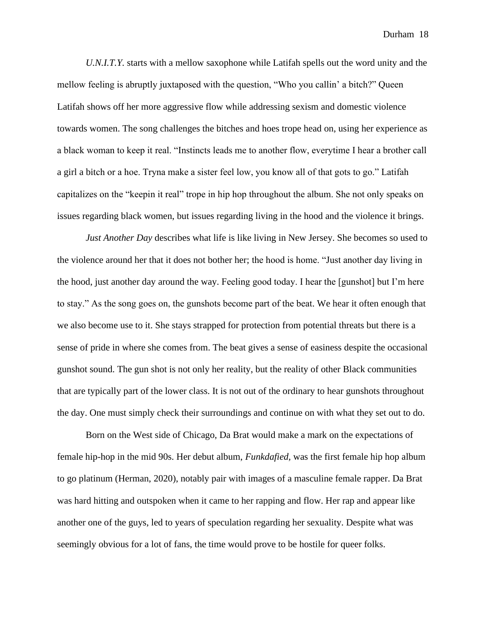*U.N.I.T.Y.* starts with a mellow saxophone while Latifah spells out the word unity and the mellow feeling is abruptly juxtaposed with the question, "Who you callin' a bitch?" Queen Latifah shows off her more aggressive flow while addressing sexism and domestic violence towards women. The song challenges the bitches and hoes trope head on, using her experience as a black woman to keep it real. "Instincts leads me to another flow, everytime I hear a brother call a girl a bitch or a hoe. Tryna make a sister feel low, you know all of that gots to go." Latifah capitalizes on the "keepin it real" trope in hip hop throughout the album. She not only speaks on issues regarding black women, but issues regarding living in the hood and the violence it brings.

*Just Another Day* describes what life is like living in New Jersey. She becomes so used to the violence around her that it does not bother her; the hood is home. "Just another day living in the hood, just another day around the way. Feeling good today. I hear the [gunshot] but I'm here to stay." As the song goes on, the gunshots become part of the beat. We hear it often enough that we also become use to it. She stays strapped for protection from potential threats but there is a sense of pride in where she comes from. The beat gives a sense of easiness despite the occasional gunshot sound. The gun shot is not only her reality, but the reality of other Black communities that are typically part of the lower class. It is not out of the ordinary to hear gunshots throughout the day. One must simply check their surroundings and continue on with what they set out to do.

Born on the West side of Chicago, Da Brat would make a mark on the expectations of female hip-hop in the mid 90s. Her debut album, *Funkdafied,* was the first female hip hop album to go platinum (Herman, 2020), notably pair with images of a masculine female rapper. Da Brat was hard hitting and outspoken when it came to her rapping and flow. Her rap and appear like another one of the guys, led to years of speculation regarding her sexuality. Despite what was seemingly obvious for a lot of fans, the time would prove to be hostile for queer folks.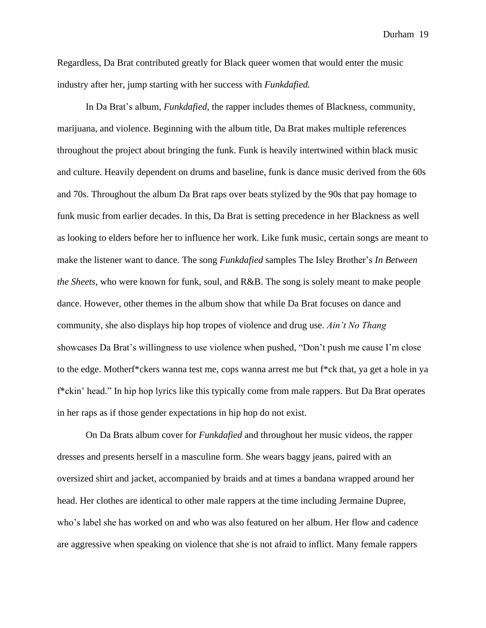Regardless, Da Brat contributed greatly for Black queer women that would enter the music industry after her, jump starting with her success with *Funkdafied.*

In Da Brat's album, *Funkdafied*, the rapper includes themes of Blackness, community, marijuana, and violence. Beginning with the album title, Da Brat makes multiple references throughout the project about bringing the funk. Funk is heavily intertwined within black music and culture. Heavily dependent on drums and baseline, funk is dance music derived from the 60s and 70s. Throughout the album Da Brat raps over beats stylized by the 90s that pay homage to funk music from earlier decades. In this, Da Brat is setting precedence in her Blackness as well as looking to elders before her to influence her work. Like funk music, certain songs are meant to make the listener want to dance. The song *Funkdafied* samples The Isley Brother's *In Between the Sheets*, who were known for funk, soul, and R&B. The song is solely meant to make people dance. However, other themes in the album show that while Da Brat focuses on dance and community, she also displays hip hop tropes of violence and drug use. *Ain't No Thang* showcases Da Brat's willingness to use violence when pushed, "Don't push me cause I'm close to the edge. Motherf\*ckers wanna test me, cops wanna arrest me but f\*ck that, ya get a hole in ya f\*ckin' head." In hip hop lyrics like this typically come from male rappers. But Da Brat operates in her raps as if those gender expectations in hip hop do not exist.

On Da Brats album cover for *Funkdafied* and throughout her music videos, the rapper dresses and presents herself in a masculine form. She wears baggy jeans, paired with an oversized shirt and jacket, accompanied by braids and at times a bandana wrapped around her head. Her clothes are identical to other male rappers at the time including Jermaine Dupree, who's label she has worked on and who was also featured on her album. Her flow and cadence are aggressive when speaking on violence that she is not afraid to inflict. Many female rappers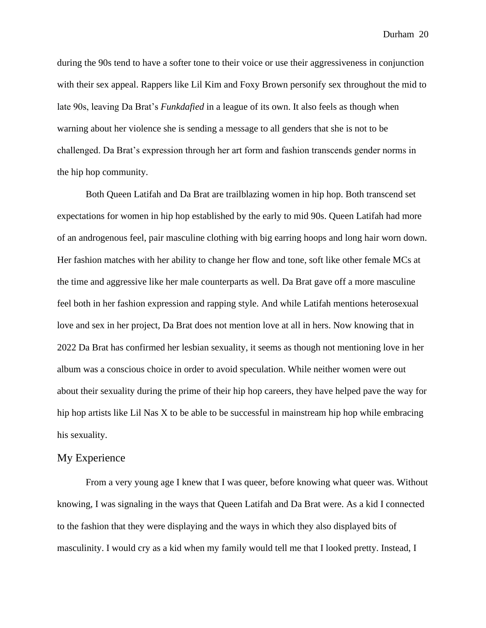during the 90s tend to have a softer tone to their voice or use their aggressiveness in conjunction with their sex appeal. Rappers like Lil Kim and Foxy Brown personify sex throughout the mid to late 90s, leaving Da Brat's *Funkdafied* in a league of its own. It also feels as though when warning about her violence she is sending a message to all genders that she is not to be challenged. Da Brat's expression through her art form and fashion transcends gender norms in the hip hop community.

Both Queen Latifah and Da Brat are trailblazing women in hip hop. Both transcend set expectations for women in hip hop established by the early to mid 90s. Queen Latifah had more of an androgenous feel, pair masculine clothing with big earring hoops and long hair worn down. Her fashion matches with her ability to change her flow and tone, soft like other female MCs at the time and aggressive like her male counterparts as well. Da Brat gave off a more masculine feel both in her fashion expression and rapping style. And while Latifah mentions heterosexual love and sex in her project, Da Brat does not mention love at all in hers. Now knowing that in 2022 Da Brat has confirmed her lesbian sexuality, it seems as though not mentioning love in her album was a conscious choice in order to avoid speculation. While neither women were out about their sexuality during the prime of their hip hop careers, they have helped pave the way for hip hop artists like Lil Nas X to be able to be successful in mainstream hip hop while embracing his sexuality.

### My Experience

From a very young age I knew that I was queer, before knowing what queer was. Without knowing, I was signaling in the ways that Queen Latifah and Da Brat were. As a kid I connected to the fashion that they were displaying and the ways in which they also displayed bits of masculinity. I would cry as a kid when my family would tell me that I looked pretty. Instead, I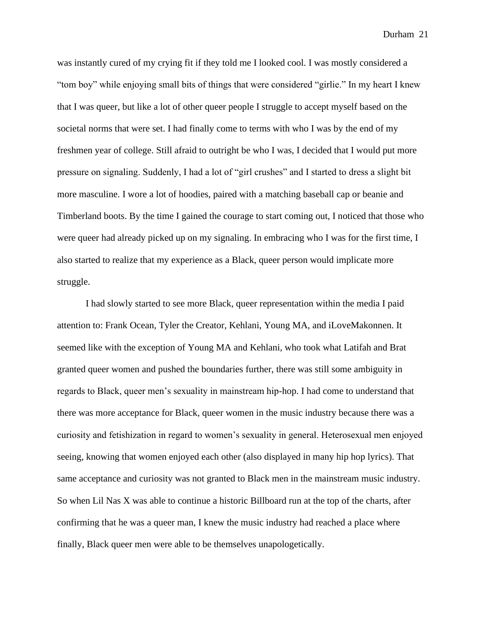was instantly cured of my crying fit if they told me I looked cool. I was mostly considered a "tom boy" while enjoying small bits of things that were considered "girlie." In my heart I knew that I was queer, but like a lot of other queer people I struggle to accept myself based on the societal norms that were set. I had finally come to terms with who I was by the end of my freshmen year of college. Still afraid to outright be who I was, I decided that I would put more pressure on signaling. Suddenly, I had a lot of "girl crushes" and I started to dress a slight bit more masculine. I wore a lot of hoodies, paired with a matching baseball cap or beanie and Timberland boots. By the time I gained the courage to start coming out, I noticed that those who were queer had already picked up on my signaling. In embracing who I was for the first time, I also started to realize that my experience as a Black, queer person would implicate more struggle.

I had slowly started to see more Black, queer representation within the media I paid attention to: Frank Ocean, Tyler the Creator, Kehlani, Young MA, and iLoveMakonnen. It seemed like with the exception of Young MA and Kehlani, who took what Latifah and Brat granted queer women and pushed the boundaries further, there was still some ambiguity in regards to Black, queer men's sexuality in mainstream hip-hop. I had come to understand that there was more acceptance for Black, queer women in the music industry because there was a curiosity and fetishization in regard to women's sexuality in general. Heterosexual men enjoyed seeing, knowing that women enjoyed each other (also displayed in many hip hop lyrics). That same acceptance and curiosity was not granted to Black men in the mainstream music industry. So when Lil Nas X was able to continue a historic Billboard run at the top of the charts, after confirming that he was a queer man, I knew the music industry had reached a place where finally, Black queer men were able to be themselves unapologetically.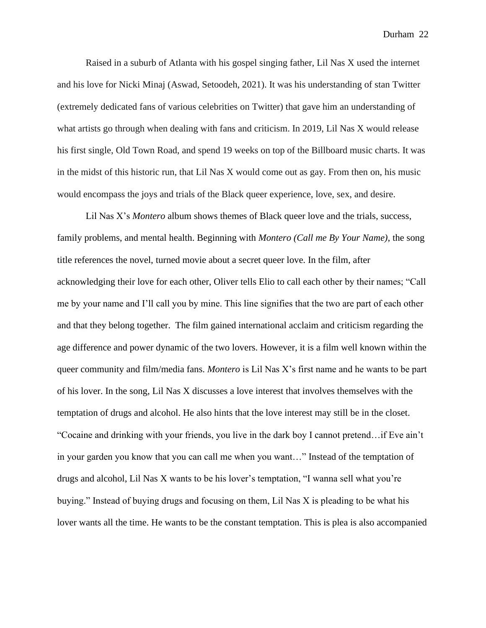Raised in a suburb of Atlanta with his gospel singing father, Lil Nas X used the internet and his love for Nicki Minaj (Aswad, Setoodeh, 2021). It was his understanding of stan Twitter (extremely dedicated fans of various celebrities on Twitter) that gave him an understanding of what artists go through when dealing with fans and criticism. In 2019, Lil Nas X would release his first single, Old Town Road, and spend 19 weeks on top of the Billboard music charts. It was in the midst of this historic run, that Lil Nas X would come out as gay. From then on, his music would encompass the joys and trials of the Black queer experience, love, sex, and desire.

Lil Nas X's *Montero* album shows themes of Black queer love and the trials, success, family problems, and mental health. Beginning with *Montero (Call me By Your Name)*, the song title references the novel, turned movie about a secret queer love. In the film, after acknowledging their love for each other, Oliver tells Elio to call each other by their names; "Call me by your name and I'll call you by mine. This line signifies that the two are part of each other and that they belong together. The film gained international acclaim and criticism regarding the age difference and power dynamic of the two lovers. However, it is a film well known within the queer community and film/media fans. *Montero* is Lil Nas X's first name and he wants to be part of his lover. In the song, Lil Nas X discusses a love interest that involves themselves with the temptation of drugs and alcohol. He also hints that the love interest may still be in the closet. "Cocaine and drinking with your friends, you live in the dark boy I cannot pretend…if Eve ain't in your garden you know that you can call me when you want…" Instead of the temptation of drugs and alcohol, Lil Nas X wants to be his lover's temptation, "I wanna sell what you're buying." Instead of buying drugs and focusing on them, Lil Nas X is pleading to be what his lover wants all the time. He wants to be the constant temptation. This is plea is also accompanied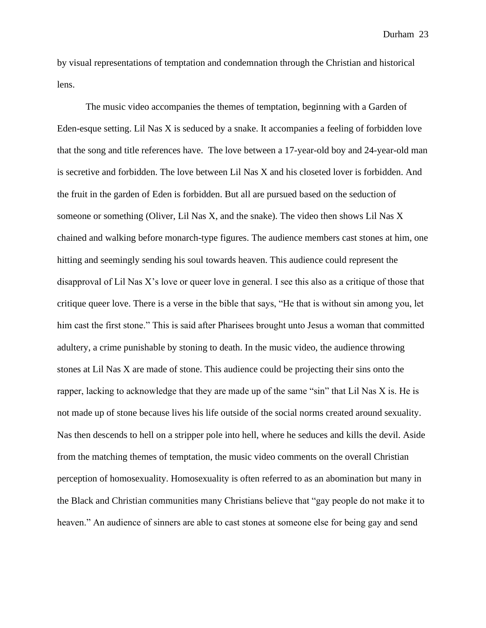by visual representations of temptation and condemnation through the Christian and historical lens.

The music video accompanies the themes of temptation, beginning with a Garden of Eden-esque setting. Lil Nas X is seduced by a snake. It accompanies a feeling of forbidden love that the song and title references have. The love between a 17-year-old boy and 24-year-old man is secretive and forbidden. The love between Lil Nas X and his closeted lover is forbidden. And the fruit in the garden of Eden is forbidden. But all are pursued based on the seduction of someone or something (Oliver, Lil Nas X, and the snake). The video then shows Lil Nas X chained and walking before monarch-type figures. The audience members cast stones at him, one hitting and seemingly sending his soul towards heaven. This audience could represent the disapproval of Lil Nas X's love or queer love in general. I see this also as a critique of those that critique queer love. There is a verse in the bible that says, "He that is without sin among you, let him cast the first stone." This is said after Pharisees brought unto Jesus a woman that committed adultery, a crime punishable by stoning to death. In the music video, the audience throwing stones at Lil Nas X are made of stone. This audience could be projecting their sins onto the rapper, lacking to acknowledge that they are made up of the same "sin" that Lil Nas X is. He is not made up of stone because lives his life outside of the social norms created around sexuality. Nas then descends to hell on a stripper pole into hell, where he seduces and kills the devil. Aside from the matching themes of temptation, the music video comments on the overall Christian perception of homosexuality. Homosexuality is often referred to as an abomination but many in the Black and Christian communities many Christians believe that "gay people do not make it to heaven." An audience of sinners are able to cast stones at someone else for being gay and send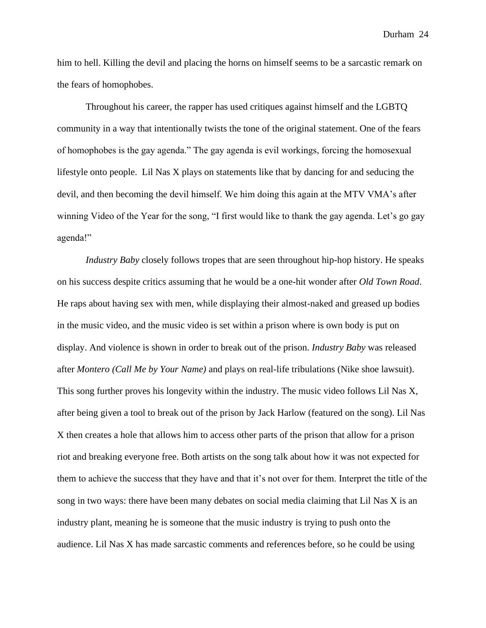him to hell. Killing the devil and placing the horns on himself seems to be a sarcastic remark on the fears of homophobes.

Throughout his career, the rapper has used critiques against himself and the LGBTQ community in a way that intentionally twists the tone of the original statement. One of the fears of homophobes is the gay agenda." The gay agenda is evil workings, forcing the homosexual lifestyle onto people. Lil Nas X plays on statements like that by dancing for and seducing the devil, and then becoming the devil himself. We him doing this again at the MTV VMA's after winning Video of the Year for the song, "I first would like to thank the gay agenda. Let's go gay agenda!"

*Industry Baby* closely follows tropes that are seen throughout hip-hop history. He speaks on his success despite critics assuming that he would be a one-hit wonder after *Old Town Road*. He raps about having sex with men, while displaying their almost-naked and greased up bodies in the music video, and the music video is set within a prison where is own body is put on display. And violence is shown in order to break out of the prison. *Industry Baby* was released after *Montero (Call Me by Your Name)* and plays on real-life tribulations (Nike shoe lawsuit). This song further proves his longevity within the industry. The music video follows Lil Nas X, after being given a tool to break out of the prison by Jack Harlow (featured on the song). Lil Nas X then creates a hole that allows him to access other parts of the prison that allow for a prison riot and breaking everyone free. Both artists on the song talk about how it was not expected for them to achieve the success that they have and that it's not over for them. Interpret the title of the song in two ways: there have been many debates on social media claiming that Lil Nas X is an industry plant, meaning he is someone that the music industry is trying to push onto the audience. Lil Nas X has made sarcastic comments and references before, so he could be using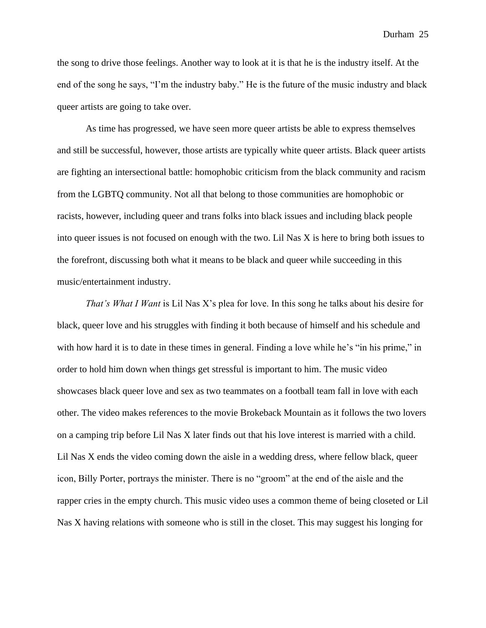the song to drive those feelings. Another way to look at it is that he is the industry itself. At the end of the song he says, "I'm the industry baby." He is the future of the music industry and black queer artists are going to take over.

As time has progressed, we have seen more queer artists be able to express themselves and still be successful, however, those artists are typically white queer artists. Black queer artists are fighting an intersectional battle: homophobic criticism from the black community and racism from the LGBTQ community. Not all that belong to those communities are homophobic or racists, however, including queer and trans folks into black issues and including black people into queer issues is not focused on enough with the two. Lil Nas X is here to bring both issues to the forefront, discussing both what it means to be black and queer while succeeding in this music/entertainment industry.

*That's What I Want* is Lil Nas X's plea for love. In this song he talks about his desire for black, queer love and his struggles with finding it both because of himself and his schedule and with how hard it is to date in these times in general. Finding a love while he's "in his prime," in order to hold him down when things get stressful is important to him. The music video showcases black queer love and sex as two teammates on a football team fall in love with each other. The video makes references to the movie Brokeback Mountain as it follows the two lovers on a camping trip before Lil Nas X later finds out that his love interest is married with a child. Lil Nas X ends the video coming down the aisle in a wedding dress, where fellow black, queer icon, Billy Porter, portrays the minister. There is no "groom" at the end of the aisle and the rapper cries in the empty church. This music video uses a common theme of being closeted or Lil Nas X having relations with someone who is still in the closet. This may suggest his longing for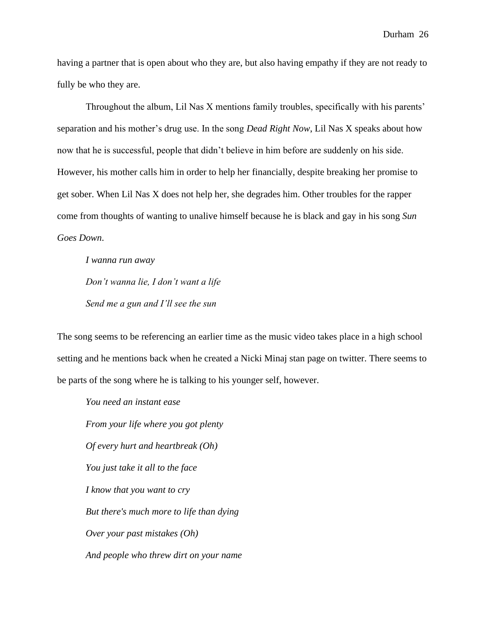having a partner that is open about who they are, but also having empathy if they are not ready to fully be who they are.

Throughout the album, Lil Nas X mentions family troubles, specifically with his parents' separation and his mother's drug use. In the song *Dead Right Now*, Lil Nas X speaks about how now that he is successful, people that didn't believe in him before are suddenly on his side. However, his mother calls him in order to help her financially, despite breaking her promise to get sober. When Lil Nas X does not help her, she degrades him. Other troubles for the rapper come from thoughts of wanting to unalive himself because he is black and gay in his song *Sun Goes Down*.

*I wanna run away Don't wanna lie, I don't want a life Send me a gun and I'll see the sun*

The song seems to be referencing an earlier time as the music video takes place in a high school setting and he mentions back when he created a Nicki Minaj stan page on twitter. There seems to be parts of the song where he is talking to his younger self, however.

*You need an instant ease From your life where you got plenty Of every hurt and heartbreak (Oh) You just take it all to the face I know that you want to cry But there's much more to life than dying Over your past mistakes (Oh) And people who threw dirt on your name*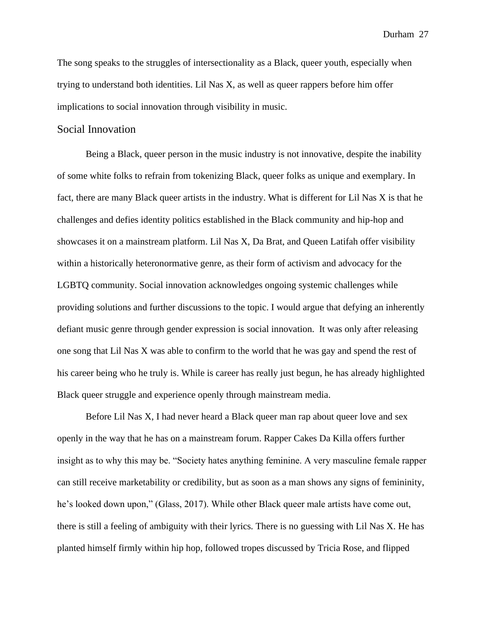The song speaks to the struggles of intersectionality as a Black, queer youth, especially when trying to understand both identities. Lil Nas X, as well as queer rappers before him offer implications to social innovation through visibility in music.

### Social Innovation

Being a Black, queer person in the music industry is not innovative, despite the inability of some white folks to refrain from tokenizing Black, queer folks as unique and exemplary. In fact, there are many Black queer artists in the industry. What is different for Lil Nas X is that he challenges and defies identity politics established in the Black community and hip-hop and showcases it on a mainstream platform. Lil Nas X, Da Brat, and Queen Latifah offer visibility within a historically heteronormative genre, as their form of activism and advocacy for the LGBTQ community. Social innovation acknowledges ongoing systemic challenges while providing solutions and further discussions to the topic. I would argue that defying an inherently defiant music genre through gender expression is social innovation. It was only after releasing one song that Lil Nas X was able to confirm to the world that he was gay and spend the rest of his career being who he truly is. While is career has really just begun, he has already highlighted Black queer struggle and experience openly through mainstream media.

Before Lil Nas X, I had never heard a Black queer man rap about queer love and sex openly in the way that he has on a mainstream forum. Rapper Cakes Da Killa offers further insight as to why this may be. "Society hates anything feminine. A very masculine female rapper can still receive marketability or credibility, but as soon as a man shows any signs of femininity, he's looked down upon," (Glass, 2017). While other Black queer male artists have come out, there is still a feeling of ambiguity with their lyrics. There is no guessing with Lil Nas X. He has planted himself firmly within hip hop, followed tropes discussed by Tricia Rose, and flipped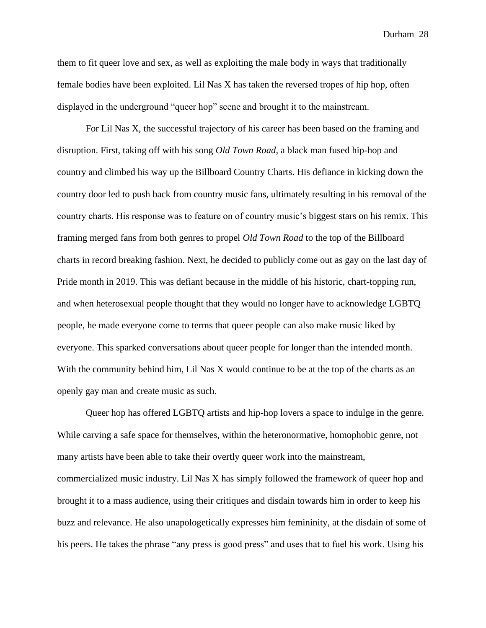them to fit queer love and sex, as well as exploiting the male body in ways that traditionally female bodies have been exploited. Lil Nas X has taken the reversed tropes of hip hop, often displayed in the underground "queer hop" scene and brought it to the mainstream.

For Lil Nas X, the successful trajectory of his career has been based on the framing and disruption. First, taking off with his song *Old Town Road*, a black man fused hip-hop and country and climbed his way up the Billboard Country Charts. His defiance in kicking down the country door led to push back from country music fans, ultimately resulting in his removal of the country charts. His response was to feature on of country music's biggest stars on his remix. This framing merged fans from both genres to propel *Old Town Road* to the top of the Billboard charts in record breaking fashion. Next, he decided to publicly come out as gay on the last day of Pride month in 2019. This was defiant because in the middle of his historic, chart-topping run, and when heterosexual people thought that they would no longer have to acknowledge LGBTQ people, he made everyone come to terms that queer people can also make music liked by everyone. This sparked conversations about queer people for longer than the intended month. With the community behind him, Lil Nas X would continue to be at the top of the charts as an openly gay man and create music as such.

Queer hop has offered LGBTQ artists and hip-hop lovers a space to indulge in the genre. While carving a safe space for themselves, within the heteronormative, homophobic genre, not many artists have been able to take their overtly queer work into the mainstream, commercialized music industry. Lil Nas X has simply followed the framework of queer hop and brought it to a mass audience, using their critiques and disdain towards him in order to keep his buzz and relevance. He also unapologetically expresses him femininity, at the disdain of some of his peers. He takes the phrase "any press is good press" and uses that to fuel his work. Using his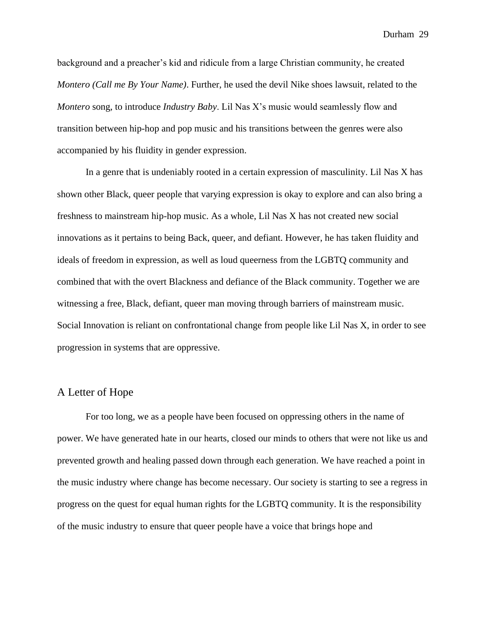background and a preacher's kid and ridicule from a large Christian community, he created *Montero (Call me By Your Name)*. Further, he used the devil Nike shoes lawsuit, related to the *Montero* song, to introduce *Industry Baby*. Lil Nas X's music would seamlessly flow and transition between hip-hop and pop music and his transitions between the genres were also accompanied by his fluidity in gender expression.

In a genre that is undeniably rooted in a certain expression of masculinity. Lil Nas X has shown other Black, queer people that varying expression is okay to explore and can also bring a freshness to mainstream hip-hop music. As a whole, Lil Nas X has not created new social innovations as it pertains to being Back, queer, and defiant. However, he has taken fluidity and ideals of freedom in expression, as well as loud queerness from the LGBTQ community and combined that with the overt Blackness and defiance of the Black community. Together we are witnessing a free, Black, defiant, queer man moving through barriers of mainstream music. Social Innovation is reliant on confrontational change from people like Lil Nas X, in order to see progression in systems that are oppressive.

### A Letter of Hope

For too long, we as a people have been focused on oppressing others in the name of power. We have generated hate in our hearts, closed our minds to others that were not like us and prevented growth and healing passed down through each generation. We have reached a point in the music industry where change has become necessary. Our society is starting to see a regress in progress on the quest for equal human rights for the LGBTQ community. It is the responsibility of the music industry to ensure that queer people have a voice that brings hope and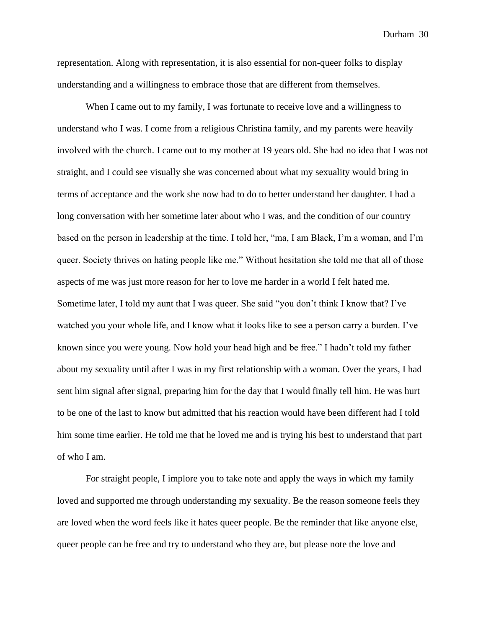representation. Along with representation, it is also essential for non-queer folks to display understanding and a willingness to embrace those that are different from themselves.

When I came out to my family, I was fortunate to receive love and a willingness to understand who I was. I come from a religious Christina family, and my parents were heavily involved with the church. I came out to my mother at 19 years old. She had no idea that I was not straight, and I could see visually she was concerned about what my sexuality would bring in terms of acceptance and the work she now had to do to better understand her daughter. I had a long conversation with her sometime later about who I was, and the condition of our country based on the person in leadership at the time. I told her, "ma, I am Black, I'm a woman, and I'm queer. Society thrives on hating people like me." Without hesitation she told me that all of those aspects of me was just more reason for her to love me harder in a world I felt hated me. Sometime later, I told my aunt that I was queer. She said "you don't think I know that? I've watched you your whole life, and I know what it looks like to see a person carry a burden. I've known since you were young. Now hold your head high and be free." I hadn't told my father about my sexuality until after I was in my first relationship with a woman. Over the years, I had sent him signal after signal, preparing him for the day that I would finally tell him. He was hurt to be one of the last to know but admitted that his reaction would have been different had I told him some time earlier. He told me that he loved me and is trying his best to understand that part of who I am.

For straight people, I implore you to take note and apply the ways in which my family loved and supported me through understanding my sexuality. Be the reason someone feels they are loved when the word feels like it hates queer people. Be the reminder that like anyone else, queer people can be free and try to understand who they are, but please note the love and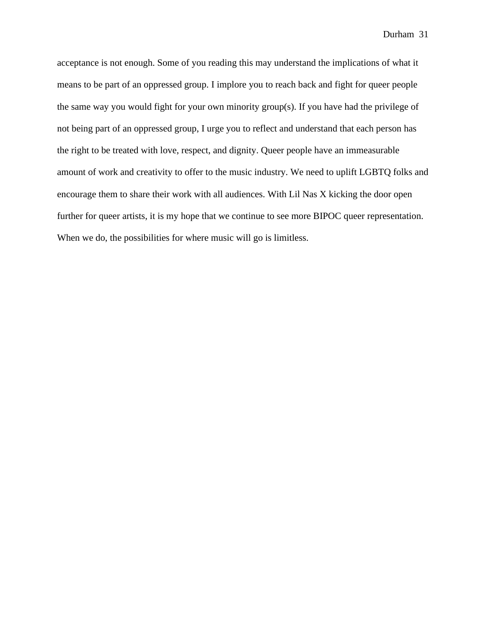acceptance is not enough. Some of you reading this may understand the implications of what it means to be part of an oppressed group. I implore you to reach back and fight for queer people the same way you would fight for your own minority group(s). If you have had the privilege of not being part of an oppressed group, I urge you to reflect and understand that each person has the right to be treated with love, respect, and dignity. Queer people have an immeasurable amount of work and creativity to offer to the music industry. We need to uplift LGBTQ folks and encourage them to share their work with all audiences. With Lil Nas X kicking the door open further for queer artists, it is my hope that we continue to see more BIPOC queer representation. When we do, the possibilities for where music will go is limitless.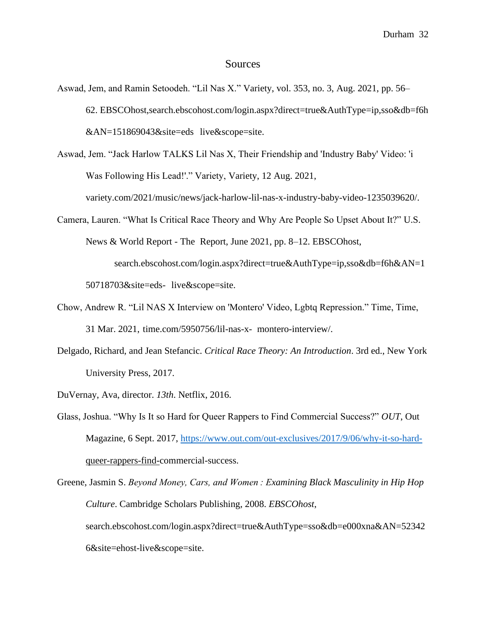#### Sources

- Aswad, Jem, and Ramin Setoodeh. "Lil Nas X." Variety, vol. 353, no. 3, Aug. 2021, pp. 56– 62. EBSCOhost,search.ebscohost.com/login.aspx?direct=true&AuthType=ip,sso&db=f6h &AN=151869043&site=eds live&scope=site.
- Aswad, Jem. "Jack Harlow TALKS Lil Nas X, Their Friendship and 'Industry Baby' Video: 'i Was Following His Lead!'." Variety, Variety, 12 Aug. 2021, variety.com/2021/music/news/jack-harlow-lil-nas-x-industry-baby-video-1235039620/.
- Camera, Lauren. "What Is Critical Race Theory and Why Are People So Upset About It?" U.S. News & World Report - The Report, June 2021, pp. 8–12. EBSCOhost, search.ebscohost.com/login.aspx?direct=true&AuthType=ip,sso&db=f6h&AN=1 50718703&site=eds- live&scope=site.
- Chow, Andrew R. "Lil NAS X Interview on 'Montero' Video, Lgbtq Repression." Time, Time, 31 Mar. 2021, time.com/5950756/lil-nas-x- montero-interview/.
- Delgado, Richard, and Jean Stefancic. *Critical Race Theory: An Introduction*. 3rd ed., New York University Press, 2017.
- DuVernay, Ava, director. *13th*. Netflix, 2016.
- Glass, Joshua. "Why Is It so Hard for Queer Rappers to Find Commercial Success?" *OUT*, Out Magazine, 6 Sept. 2017, [https://www.out.com/out-exclusives/2017/9/06/why-it-so-hard](https://www.out.com/out-exclusives/2017/9/06/why-it-so-hard-)queer-rappers-find-commercial-success.
- Greene, Jasmin S. *Beyond Money, Cars, and Women : Examining Black Masculinity in Hip Hop Culture*. Cambridge Scholars Publishing, 2008. *EBSCOhost*, search.ebscohost.com/login.aspx?direct=true&AuthType=sso&db=e000xna&AN=52342 6&site=ehost-live&scope=site.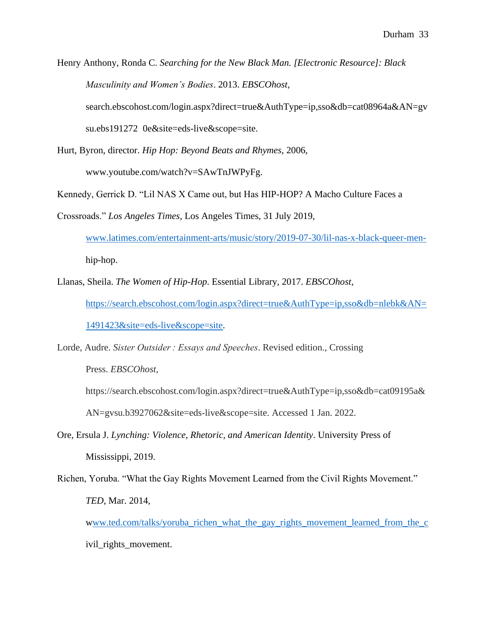Henry Anthony, Ronda C. *Searching for the New Black Man. [Electronic Resource]: Black Masculinity and Women's Bodies*. 2013. *EBSCOhost*,

search.ebscohost.com/login.aspx?direct=true&AuthType=ip,sso&db=cat08964a&AN=gv

su.ebs191272 0e&site=eds-live&scope=site.

Hurt, Byron, director. *Hip Hop: Beyond Beats and Rhymes*, 2006,

www.youtube.com/watch?v=SAwTnJWPyFg.

Kennedy, Gerrick D. "Lil NAS X Came out, but Has HIP-HOP? A Macho Culture Faces a

Crossroads." *Los Angeles Times*, Los Angeles Times, 31 July 2019,

[www.latimes.com/entertainment-arts/music/story/2019-07-30/lil-nas-x-black-queer-men](http://www.latimes.com/entertainment-arts/music/story/2019-07-30/lil-nas-x-black-queer-men-)hip-hop.

Llanas, Sheila. *The Women of Hip-Hop*. Essential Library, 2017. *EBSCOhost*, [https://search.ebscohost.com/login.aspx?direct=true&AuthType=ip,sso&db=nlebk&AN=](https://search.ebscohost.com/login.aspx?direct=true&AuthType=ip,sso&db=nlebk&AN=1491423&site=eds-live&scope=site) [1491423&site=eds-live&scope=site.](https://search.ebscohost.com/login.aspx?direct=true&AuthType=ip,sso&db=nlebk&AN=1491423&site=eds-live&scope=site)

Lorde, Audre. *Sister Outsider : Essays and Speeches*. Revised edition., Crossing Press. *EBSCOhost*,

https://search.ebscohost.com/login.aspx?direct=true&AuthType=ip,sso&db=cat09195a& AN=gvsu.b3927062&site=eds-live&scope=site. Accessed 1 Jan. 2022.

- Ore, Ersula J. *Lynching: Violence, Rhetoric, and American Identity*. University Press of Mississippi, 2019.
- Richen, Yoruba. "What the Gay Rights Movement Learned from the Civil Rights Movement." *TED*, Mar. 2014,

[www.ted.com/talks/yoruba\\_richen\\_what\\_the\\_gay\\_rights\\_movement\\_learned\\_from\\_the\\_c](http://ww.ted.com/talks/yoruba_richen_what_the_gay_rights_movement_learned_from_the_c) ivil\_rights\_movement.